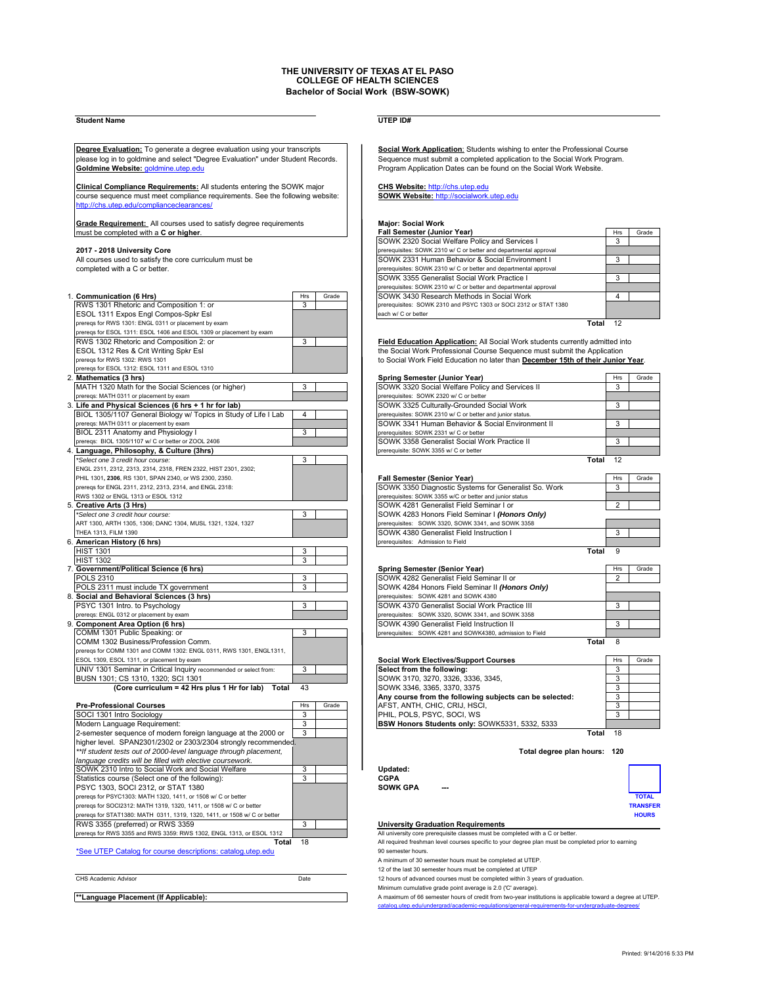# **THE UNIVERSITY OF TEXAS AT EL PASO COLLEGE OF HEALTH SCIENCES Bachelor of Social Work (BSW-SOWK)**

## **Student Name UTEP ID#**

please log in to goldmine and select "Degree Evaluation" under Student Records. **Goldmine Website:** goldmine.utep.edu **Program Application Dates can be found on the Social Work Website.** 

**Clinical Compliance Requirements:** All students entering the SOWK major **CHS Website:** http://chs.utep.edu course sequence must meet compliance requirements. See the following website: **CHS Website:** http://socialwork.ute course sequence must meet compliance requirements. See the following website: http://chs.utep.edu/complianceclearances/

**Grade Requirement:** All courses used to satisfy degree requirements **Major: Social Work** must be completed with a **C or higher**.

| 1. Communication (6 Hrs)                                            | Hrs | Grade | SOWK 3430 Research Methods in Social Work                                        | 4            |       |
|---------------------------------------------------------------------|-----|-------|----------------------------------------------------------------------------------|--------------|-------|
| RWS 1301 Rhetoric and Composition 1: or                             | 3   |       | prerequisites: SOWK 2310 and PSYC 1303 or SOCI 2312 or STAT 1380                 |              |       |
| ESOL 1311 Expos Engl Compos-Spkr Esl                                |     |       | each w/ C or better                                                              |              |       |
| preregs for RWS 1301: ENGL 0311 or placement by exam                |     |       |                                                                                  | Total $12$   |       |
| prereqs for ESOL 1311: ESOL 1406 and ESOL 1309 or placement by exam |     |       |                                                                                  |              |       |
| RWS 1302 Rhetoric and Composition 2: or                             | 3   |       | Field Education Application: All Social Work students currently admitted into    |              |       |
| ESOL 1312 Res & Crit Writing Spkr Esl                               |     |       | the Social Work Professional Course Sequence must submit the Application         |              |       |
| preregs for RWS 1302: RWS 1301                                      |     |       | to Social Work Field Education no later than December 15th of their Junior Year. |              |       |
| prereqs for ESOL 1312: ESOL 1311 and ESOL 1310                      |     |       |                                                                                  |              |       |
| 2. Mathematics (3 hrs)                                              |     |       | Spring Semester (Junior Year)                                                    | Hrs          | Grade |
| MATH 1320 Math for the Social Sciences (or higher)                  | 3   |       | SOWK 3320 Social Welfare Policy and Services II                                  | 3            |       |
| prereqs: MATH 0311 or placement by exam                             |     |       | prerequisites: SOWK 2320 w/ C or better                                          |              |       |
| 3. Life and Physical Sciences (6 hrs + 1 hr for lab)                |     |       | SOWK 3325 Culturally-Grounded Social Work                                        | 3            |       |
| BIOL 1305/1107 General Biology w/ Topics in Study of Life I Lab     | 4   |       | prerequisites: SOWK 2310 w/ C or better and junior status.                       |              |       |
| prereqs: MATH 0311 or placement by exam                             |     |       | SOWK 3341 Human Behavior & Social Environment II                                 | 3            |       |
| BIOL 2311 Anatomy and Physiology I                                  | 3   |       | prerequisites: SOWK 2331 w/ C or better                                          |              |       |
| preregs: BIOL 1305/1107 w/ C or better or ZOOL 2406                 |     |       | SOWK 3358 Generalist Social Work Practice II                                     | 3            |       |
| 4. Language, Philosophy, & Culture (3hrs)                           |     |       | prerequisite: SOWK 3355 w/ C or better                                           |              |       |
| *Select one 3 credit hour course:                                   | 3   |       | Total                                                                            | 12           |       |
| ENGL 2311, 2312, 2313, 2314, 2318, FREN 2322, HIST 2301, 2302;      |     |       |                                                                                  |              |       |
| PHIL 1301, 2306, RS 1301, SPAN 2340, or WS 2300, 2350.              |     |       | Fall Semester (Senior Year)                                                      | Hrs          | Grade |
| preregs for ENGL 2311, 2312, 2313, 2314, and ENGL 2318:             |     |       | SOWK 3350 Diagnostic Systems for Generalist So. Work                             | 3            |       |
| RWS 1302 or ENGL 1313 or ESOL 1312                                  |     |       | prerequisites: SOWK 3355 w/C or better and junior status                         |              |       |
| 5. Creative Arts (3 Hrs)                                            |     |       | SOWK 4281 Generalist Field Seminar I or                                          | 2            |       |
| *Select one 3 credit hour course:                                   | 3   |       | SOWK 4283 Honors Field Seminar I (Honors Only)                                   |              |       |
| ART 1300, ARTH 1305, 1306; DANC 1304, MUSL 1321, 1324, 1327         |     |       | prerequisites: SOWK 3320, SOWK 3341, and SOWK 3358                               |              |       |
| THEA 1313, FILM 1390                                                |     |       | SOWK 4380 Generalist Field Instruction I                                         | 3            |       |
| 6. American History (6 hrs)                                         |     |       | prerequisites: Admission to Field                                                |              |       |
| <b>HIST 1301</b>                                                    | 3   |       | Total                                                                            | $\mathbf{Q}$ |       |
| <b>HIST 1302</b>                                                    | 3   |       |                                                                                  |              |       |
| 7. Government/Political Science (6 hrs)                             |     |       | Spring Semester (Senior Year)                                                    | Hrs          | Grade |
| <b>POLS 2310</b>                                                    | 3   |       | SOWK 4282 Generalist Field Seminar II or                                         | 2            |       |
| POLS 2311 must include TX government                                | 3   |       | SOWK 4284 Honors Field Seminar II (Honors Only)                                  |              |       |
| 8. Social and Behavioral Sciences (3 hrs)                           |     |       | prerequisites: SOWK 4281 and SOWK 4380                                           |              |       |
| PSYC 1301 Intro. to Psychology                                      | 3   |       | SOWK 4370 Generalist Social Work Practice III                                    | 3            |       |
| prereqs: ENGL 0312 or placement by exam                             |     |       | prerequisites: SOWK 3320, SOWK 3341, and SOWK 3358                               |              |       |
| 9. Component Area Option (6 hrs)                                    |     |       | SOWK 4390 Generalist Field Instruction II                                        | 3            |       |
| COMM 1301 Public Speaking: or                                       | 3   |       | prerequisites: SOWK 4281 and SOWK4380, admission to Field                        |              |       |
| COMM 1302 Business/Profession Comm.                                 |     |       | Total                                                                            | 8            |       |
| prereqs for COMM 1301 and COMM 1302: ENGL 0311, RWS 1301, ENGL1311, |     |       |                                                                                  |              |       |
| ESOL 1309, ESOL 1311, or placement by exam                          |     |       | <b>Social Work Electives/Support Courses</b>                                     | Hrs          | Grade |
| UNIV 1301 Seminar in Critical Inquiry recommended or select from:   | 3   |       | Select from the following:                                                       | 3            |       |
| BUSN 1301; CS 1310, 1320; SCI 1301                                  |     |       | SOWK 3170, 3270, 3326, 3336, 3345,                                               | 3            |       |
| (Core curriculum = 42 Hrs plus 1 Hr for lab) Total                  | 43  |       | SOWK 3346, 3365, 3370, 3375                                                      | 3            |       |

**Pre-Professional Courses**<br>
SOCL 1301 Intro Sociology<br>
3 SOCI 1301 Intro Sociology 3 PHIL, POLS, PSYC, SOCI, WS 3 Modern Language Requirement: 3 **BSW Honors Students only:** SOWK5331, 5332, 5333 2-semester sequence of modern foreign language at the 2000 or 3 **Total 18 Total 18 Total 18** higher level. SPAN2301/2302 or 2303/2304 strongly recommende *\*\*If student tests out of 2000-level language through placement,* **Total degree plan hours: 120** *language credits will be filled with elective coursework.* SOWK 2310 Intro to Social Work and Social Welfare 3 **1 Updated:**<br>Statistics course (Select one of the following): 3 **CGPA** Statistics course (Select one of the following): <br>PSYC 1303 SOCL 2312 or STAT 1380<br>**CGPA PSYC 1303, SOCI 2312, or STAT 1380** prereqs for PSYC1303: MATH 1320, 1411, or 1508 w/ C or better **TOTAL** prereqs for SOCI2312: MATH 1319, 1320, 1411, or 1508 w/ C or better **TRANSFER** ,<br>prereqs for STAT1380: MATH 0311, 1319, 1320, 1411, or 1508 w/ C or bette<br>**RWS 3355 (preferred) or RWS 3359** rereqs for RWS 3355 and RWS 3359: RWS 1302, ENGL 1313, or ESOL 1312

\*See UTEP Catalog for course descriptions: catalog.utep.edu

| CHS Academic Advisor                             | Date |
|--------------------------------------------------|------|
| <sup>**</sup> anguage Placement (If Annlicable): |      |

**Degree Evaluation:** To generate a degree evaluation using your transcripts **Social Work Application:** Students wishing to enter the Professional Course<br>
please log in to goldmine and select "Degree Evaluation" under Stude

| must be completed with a C or higher.                   |     |       | <b>Fall Semester (Junior Year)</b>                                | Hrs | Grade |
|---------------------------------------------------------|-----|-------|-------------------------------------------------------------------|-----|-------|
|                                                         |     |       | SOWK 2320 Social Welfare Policy and Services I                    |     |       |
| 2017 - 2018 University Core                             |     |       | prerequisites: SOWK 2310 w/ C or better and departmental approval |     |       |
| All courses used to satisfy the core curriculum must be |     |       | SOWK 2331 Human Behavior & Social Environment I                   |     |       |
| completed with a C or better.                           |     |       | prerequisites: SOWK 2310 w/ C or better and departmental approval |     |       |
|                                                         |     |       | SOWK 3355 Generalist Social Work Practice I                       |     |       |
|                                                         |     |       | prerequisites: SOWK 2310 w/ C or better and departmental approval |     |       |
| <b>Communication (6 Hrs)</b>                            | Hrs | Grade | SOWK 3430 Research Methods in Social Work                         |     |       |
| RWS 1301 Rhetoric and Composition 1: or                 |     |       | prerequisites: SOWK 2310 and PSYC 1303 or SOCI 2312 or STAT 1380  |     |       |
| ESOL 1311 Expos Engl Compos-Spkr Esl                    |     |       | each w/ C or better                                               |     |       |
| protons for DIMS 1201: ENGL 0211 or placement by exam-  |     |       | Total                                                             |     |       |

| Spring Semester (Junior Year)                              | Hrs | Grade |
|------------------------------------------------------------|-----|-------|
| SOWK 3320 Social Welfare Policy and Services II            | 3   |       |
| prerequisites: SOWK 2320 w/ C or better                    |     |       |
| SOWK 3325 Culturally-Grounded Social Work                  | 3   |       |
| prerequisites: SOWK 2310 w/ C or better and junior status. |     |       |
| SOWK 3341 Human Behavior & Social Environment II           | з   |       |
| prerequisites: SOWK 2331 w/ C or better                    |     |       |
| SOWK 3358 Generalist Social Work Practice II               | з   |       |
| prerequisite: SOWK 3355 w/ C or better                     |     |       |
| Tota                                                       | 12  |       |

| PHIL 1301, 2306, RS 1301, SPAN 2340, or WS 2300, 2350.      |  | <b>Fall Semester (Senior Year)</b>                       | Hrs | Grade |
|-------------------------------------------------------------|--|----------------------------------------------------------|-----|-------|
| preregs for ENGL 2311, 2312, 2313, 2314, and ENGL 2318:     |  | SOWK 3350 Diagnostic Systems for Generalist So. Work     |     |       |
| RWS 1302 or ENGL 1313 or ESOL 1312                          |  | prerequisites: SOWK 3355 w/C or better and junior status |     |       |
| Creative Arts (3 Hrs)                                       |  | SOWK 4281 Generalist Field Seminar I or                  |     |       |
| *Select one 3 credit hour course:                           |  | SOWK 4283 Honors Field Seminar I (Honors Only)           |     |       |
| ART 1300, ARTH 1305, 1306; DANC 1304, MUSL 1321, 1324, 1327 |  | prerequisites: SOWK 3320, SOWK 3341, and SOWK 3358       |     |       |
| THEA 1313. FILM 1390                                        |  | <b>SOWK 4380 Generalist Field Instruction I</b>          |     |       |
| American History (6 hrs)                                    |  | prerequisites: Admission to Field                        |     |       |
| . <b>. .</b>                                                |  |                                                          |     |       |

| Spring Semester (Senior Year)                             | Hrs | Grade |  |  |  |
|-----------------------------------------------------------|-----|-------|--|--|--|
| SOWK 4282 Generalist Field Seminar II or                  | 2   |       |  |  |  |
| SOWK 4284 Honors Field Seminar II (Honors Only)           |     |       |  |  |  |
| prerequisites: SOWK 4281 and SOWK 4380                    |     |       |  |  |  |
| SOWK 4370 Generalist Social Work Practice III             |     |       |  |  |  |
| prerequisites: SOWK 3320, SOWK 3341, and SOWK 3358        |     |       |  |  |  |
| <b>SOWK 4390 Generalist Field Instruction II</b>          | ર   |       |  |  |  |
| prerequisites: SOWK 4281 and SOWK4380, admission to Field |     |       |  |  |  |

| prefeqs for CONINT 130 Fariu CONINT 1302. ENGL 03TT, RWS 130T, ENGL 13TT, |     |       |                                                         |            |       |
|---------------------------------------------------------------------------|-----|-------|---------------------------------------------------------|------------|-------|
| ESOL 1309, ESOL 1311, or placement by exam                                |     |       | <b>Social Work Electives/Support Courses</b>            | <b>Hrs</b> | Grade |
| UNIV 1301 Seminar in Critical Inquiry recommended or select from:         |     |       | Select from the following:                              |            |       |
| BUSN 1301; CS 1310, 1320; SCI 1301                                        |     |       | SOWK 3170, 3270, 3326, 3336, 3345,                      |            |       |
| (Core curriculum = 42 Hrs plus 1 Hr for lab) Total $43$                   |     |       | SOWK 3346, 3365, 3370, 3375                             | $\cdot$    |       |
|                                                                           |     |       | Any course from the following subjects can be selected: |            |       |
| <b>Pre-Professional Courses</b>                                           | Hrs | Grade | AFST, ANTH, CHIC, CRIJ, HSCI,                           |            |       |
| SOCI 1301 Intro Sociology                                                 |     |       | PHIL, POLS, PSYC, SOCI, WS                              | $\cdot$    |       |
| Modern Language Requirement:                                              |     |       | BSW Honors Students only: SOWK5331, 5332, 5333          |            |       |
|                                                                           |     |       |                                                         |            |       |

| ed:   |     |                |
|-------|-----|----------------|
| ( GPA | $-$ |                |
|       |     | <b>TOTAL</b>   |
|       |     | <b>TRANSFE</b> |
|       |     | <b>HOURS</b>   |

**Referred Blue 33 University Graduation Requirements**<br>All university core prerequisite classes must be completed with a C or better.

**Total** 18 All required freshman level courses specific to your degree plan must be completed prior to earning<br>a 90 semester hours.

A minimum of 30 semester hours must be completed at UTEP.

12 of the last 30 semester hours must be completed at UTEP 12 hours of advanced courses must be completed within 3 years of graduation.

Minimum cumulative grade point average is 2.0 ('C' average).

**\*\*Language Placement (If Applicable):** A maximum of 66 semester hours of credit from two-year institutions is applicable toward a degree at UTEP. catalog.utep.edu/undergrad/accademic